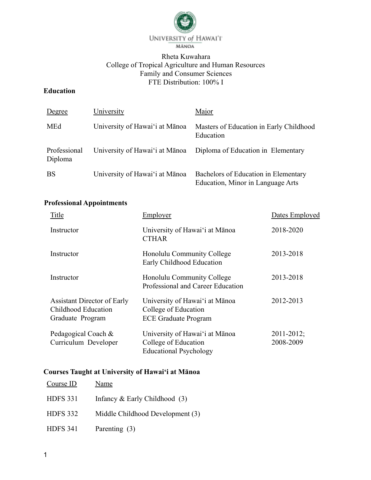

## Rheta Kuwahara College of Tropical Agriculture and Human Resources Family and Consumer Sciences FTE Distribution: 100% I

## **Education**

| Degree                  | University                     | Major                                                                     |
|-------------------------|--------------------------------|---------------------------------------------------------------------------|
| MEd                     | University of Hawai'i at Mānoa | Masters of Education in Early Childhood<br>Education                      |
| Professional<br>Diploma | University of Hawai'i at Mānoa | Diploma of Education in Elementary                                        |
| <b>BS</b>               | University of Hawai'i at Mānoa | Bachelors of Education in Elementary<br>Education, Minor in Language Arts |

# **Professional Appointments**

| Title                                                                         | Employer                                                                                | Dates Employed               |
|-------------------------------------------------------------------------------|-----------------------------------------------------------------------------------------|------------------------------|
| Instructor                                                                    | University of Hawai'i at Mānoa<br><b>CTHAR</b>                                          | 2018-2020                    |
| Instructor                                                                    | Honolulu Community College<br>Early Childhood Education                                 | 2013-2018                    |
| Instructor                                                                    | Honolulu Community College<br>Professional and Career Education                         | 2013-2018                    |
| <b>Assistant Director of Early</b><br>Childhood Education<br>Graduate Program | University of Hawai'i at Mānoa<br>College of Education<br><b>ECE Graduate Program</b>   | 2012-2013                    |
| Pedagogical Coach &<br>Curriculum Developer                                   | University of Hawai'i at Mānoa<br>College of Education<br><b>Educational Psychology</b> | $2011 - 2012$ ;<br>2008-2009 |

# **Courses Taught at University of Hawai'i at Mānoa**

| Course ID       | Name                             |
|-----------------|----------------------------------|
| <b>HDFS 331</b> | Infancy $&$ Early Childhood (3)  |
| <b>HDFS 332</b> | Middle Childhood Development (3) |
| <b>HDFS 341</b> | Parenting (3)                    |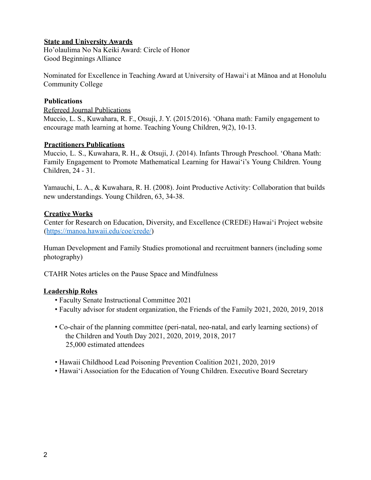#### **State and University Awards**

Ho'olaulima No Na Keiki Award: Circle of Honor Good Beginnings Alliance

Nominated for Excellence in Teaching Award at University of Hawai'i at Mānoa and at Honolulu Community College

#### **Publications**

Refereed Journal Publications Muccio, L. S., Kuwahara, R. F., Otsuji, J. Y. (2015/2016). 'Ohana math: Family engagement to encourage math learning at home. Teaching Young Children, 9(2), 10-13.

#### **Practitioners Publications**

Muccio, L. S., Kuwahara, R. H., & Otsuji, J. (2014). Infants Through Preschool. 'Ohana Math: Family Engagement to Promote Mathematical Learning for Hawaiʻi's Young Children. Young Children, 24 - 31.

Yamauchi, L. A., & Kuwahara, R. H. (2008). Joint Productive Activity: Collaboration that builds new understandings. Young Children, 63, 34-38.

### **Creative Works**

Center for Research on Education, Diversity, and Excellence (CREDE) Hawai'i Project website (https://manoa.hawaii.edu/coe/crede/)

Human Development and Family Studies promotional and recruitment banners (including some photography)

CTAHR Notes articles on the Pause Space and Mindfulness

### **Leadership Roles**

- Faculty Senate Instructional Committee 2021
- Faculty advisor for student organization, the Friends of the Family 2021, 2020, 2019, 2018
- Co-chair of the planning committee (peri-natal, neo-natal, and early learning sections) of the Children and Youth Day 2021, 2020, 2019, 2018, 2017 25,000 estimated attendees
- Hawaii Childhood Lead Poisoning Prevention Coalition 2021, 2020, 2019
- Hawai'i Association for the Education of Young Children. Executive Board Secretary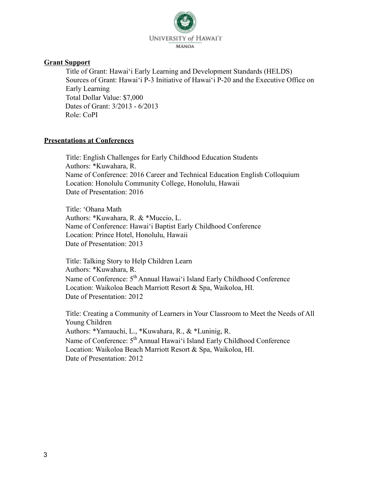

#### **Grant Support**

Title of Grant: Hawai'i Early Learning and Development Standards (HELDS) Sources of Grant: Hawai'i P-3 Initiative of Hawai'i P-20 and the Executive Office on Early Learning Total Dollar Value: \$7,000 Dates of Grant: 3/2013 - 6/2013 Role: CoPI

#### **Presentations at Conferences**

Title: English Challenges for Early Childhood Education Students Authors: \*Kuwahara, R. Name of Conference: 2016 Career and Technical Education English Colloquium Location: Honolulu Community College, Honolulu, Hawaii Date of Presentation: 2016

Title: ʻOhana Math Authors: \*Kuwahara, R. & \*Muccio, L. Name of Conference: Hawaiʻi Baptist Early Childhood Conference Location: Prince Hotel, Honolulu, Hawaii Date of Presentation: 2013

Title: Talking Story to Help Children Learn Authors: \*Kuwahara, R. Name of Conference:  $5<sup>th</sup>$  Annual Hawai'i Island Early Childhood Conference Location: Waikoloa Beach Marriott Resort & Spa, Waikoloa, HI. Date of Presentation: 2012

Title: Creating a Community of Learners in Your Classroom to Meet the Needs of All Young Children Authors: \*Yamauchi, L., \*Kuwahara, R., & \*Luninig, R. Name of Conference:  $5<sup>th</sup>$  Annual Hawai'i Island Early Childhood Conference Location: Waikoloa Beach Marriott Resort & Spa, Waikoloa, HI. Date of Presentation: 2012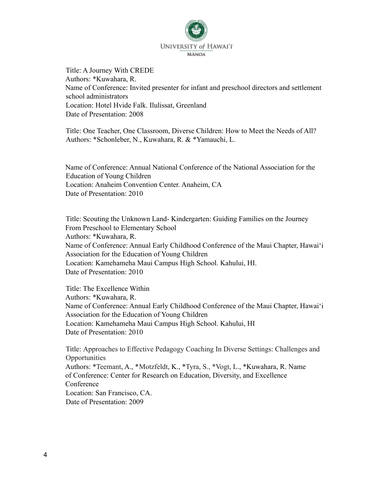

Title: A Journey With CREDE Authors: \*Kuwahara, R. Name of Conference: Invited presenter for infant and preschool directors and settlement school administrators Location: Hotel Hvide Falk. Ilulissat, Greenland Date of Presentation: 2008

Title: One Teacher, One Classroom, Diverse Children: How to Meet the Needs of All? Authors: \*Schonleber, N., Kuwahara, R. & \*Yamauchi, L.

Name of Conference: Annual National Conference of the National Association for the Education of Young Children Location: Anaheim Convention Center. Anaheim, CA Date of Presentation: 2010

Title: Scouting the Unknown Land- Kindergarten: Guiding Families on the Journey From Preschool to Elementary School Authors: \*Kuwahara, R. Name of Conference: Annual Early Childhood Conference of the Maui Chapter, Hawai'i Association for the Education of Young Children Location: Kamehameha Maui Campus High School. Kahului, HI. Date of Presentation: 2010

Title: The Excellence Within Authors: \*Kuwahara, R. Name of Conference: Annual Early Childhood Conference of the Maui Chapter, Hawai'i Association for the Education of Young Children Location: Kamehameha Maui Campus High School. Kahului, HI Date of Presentation: 2010

Title: Approaches to Effective Pedagogy Coaching In Diverse Settings: Challenges and **Opportunities** Authors: \*Teemant, A., \*Motzfeldt, K., \*Tyra, S., \*Vogt, L., \*Kuwahara, R. Name of Conference: Center for Research on Education, Diversity, and Excellence **Conference** Location: San Francisco, CA. Date of Presentation: 2009